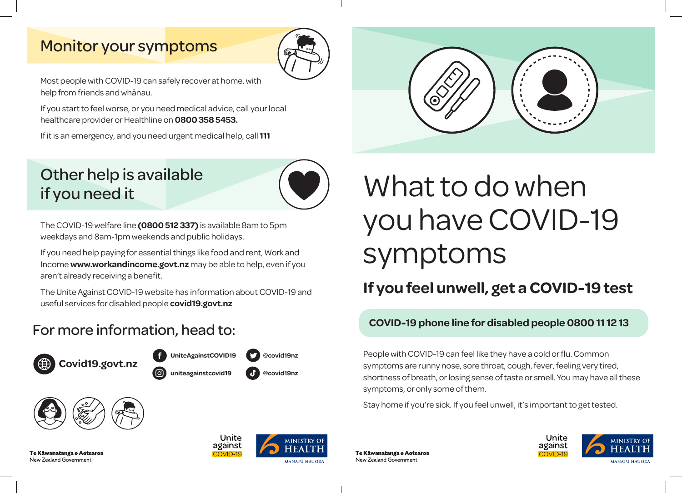### Monitor your symptoms



Most people with COVID-19 can safely recover at home, with help from friends and whānau.

If you start to feel worse, or you need medical advice, call your local healthcare provider or Healthline on **0800 358 5453.** 

If it is an emergency, and you need urgent medical help, call **111**

### Other help is available if you need it



The COVID-19 welfare line **(0800 512 337)** is available 8am to 5pm weekdays and 8am-1pm weekends and public holidays.

If you need help paying for essential things like food and rent, Work and Income **www.workandincome.govt.nz** may be able to help, even if you aren't already receiving a benefit.

The Unite Against COVID-19 website has information about COVID-19 and useful services for disabled people **covid19.govt.nz**





Te Kāwanatanga o Aotearoa New Zealand Government



# What to do when you have COVID-19 symptoms

### **If you feel unwell, get a COVID-19 test**

## For more information, head to: **COVID-19 phone line for disabled people 0800 11 12 13**

People with COVID-19 can feel like they have a cold or flu. Common symptoms are runny nose, sore throat, cough, fever, feeling very tired, shortness of breath, or losing sense of taste or smell. You may have all these symptoms, or only some of them.

Stay home if you're sick. If you feel unwell, it's important to get tested.